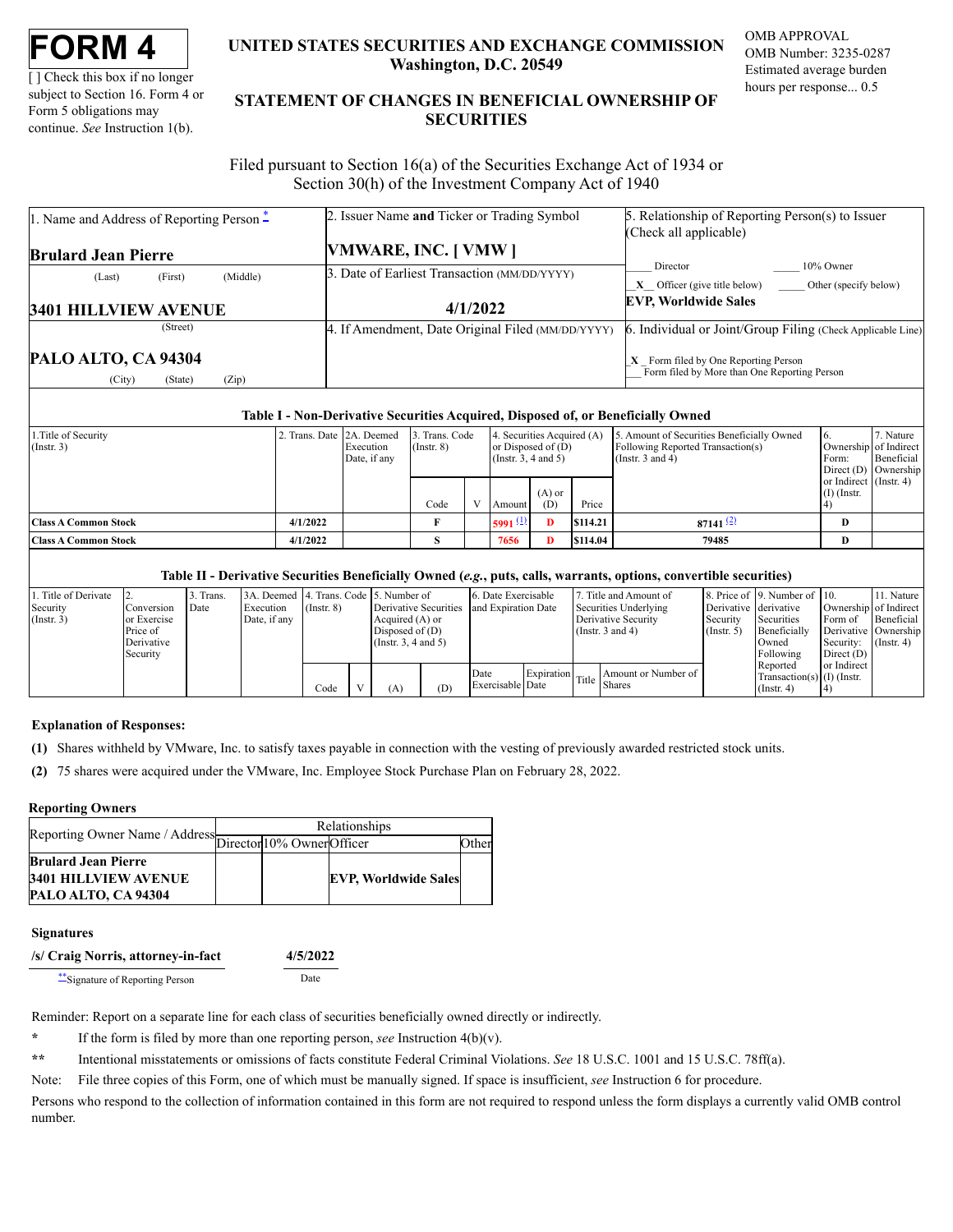[ ] Check this box if no longer subject to Section 16. Form 4 or Form 5 obligations may continue. *See* Instruction 1(b).

# **UNITED STATES SECURITIES AND EXCHANGE COMMISSION Washington, D.C. 20549**

OMB APPROVAL OMB Number: 3235-0287 Estimated average burden hours per response... 0.5

# **STATEMENT OF CHANGES IN BENEFICIAL OWNERSHIP OF SECURITIES**

Filed pursuant to Section 16(a) of the Securities Exchange Act of 1934 or Section 30(h) of the Investment Company Act of 1940

| 1. Name and Address of Reporting Person $\ddot{=}$ | 2. Issuer Name and Ticker or Trading Symbol       | 5. Relationship of Reporting Person(s) to Issuer                                       |  |  |  |
|----------------------------------------------------|---------------------------------------------------|----------------------------------------------------------------------------------------|--|--|--|
|                                                    |                                                   | (Check all applicable)                                                                 |  |  |  |
| <b>Brulard Jean Pierre</b>                         | VMWARE, INC. [VMW]                                |                                                                                        |  |  |  |
| (Middle)<br>(First)<br>(Last)                      | 3. Date of Earliest Transaction (MM/DD/YYYY)      | 10% Owner<br>Director                                                                  |  |  |  |
|                                                    |                                                   | <b>X</b> Officer (give title below) Other (specify below)                              |  |  |  |
| <b>3401 HILLVIEW AVENUE</b>                        | 4/1/2022                                          | <b>EVP, Worldwide Sales</b>                                                            |  |  |  |
| (Street)                                           | 4. If Amendment, Date Original Filed (MM/DD/YYYY) | 6. Individual or Joint/Group Filing (Check Applicable Line)                            |  |  |  |
| PALO ALTO, CA 94304                                |                                                   | $X$ Form filed by One Reporting Person<br>Form filed by More than One Reporting Person |  |  |  |

### **Table I - Non-Derivative Securities Acquired, Disposed of, or Beneficially Owned**

| 1. Title of Security<br>$($ Instr. 3) | 2. Trans. Date 2A. Deemed | Execution<br>Date, if any | 3. Trans. Code<br>$($ Instr. $8)$ |  | or Disposed of $(D)$<br>$($ Instr. 3, 4 and 5 $)$ | 4. Securities Acquired (A) |          | 5. Amount of Securities Beneficially Owned<br>Following Reported Transaction(s)<br>(Instr. $3$ and $4$ ) | Form:                                   | '. Nature<br>Ownership of Indirect<br>Beneficial<br>Direct $(D)$ Ownership |
|---------------------------------------|---------------------------|---------------------------|-----------------------------------|--|---------------------------------------------------|----------------------------|----------|----------------------------------------------------------------------------------------------------------|-----------------------------------------|----------------------------------------------------------------------------|
|                                       |                           |                           | Code                              |  | Amount                                            | $(A)$ or<br>(D)            | Price    |                                                                                                          | or Indirect (Instr. 4)<br>$(I)$ (Instr. |                                                                            |
| <b>Class A Common Stock</b>           | 4/1/2022                  |                           |                                   |  | 5991 $(1)$                                        | Ð                          | \$114.21 | $87141$ $(2)$                                                                                            | D                                       |                                                                            |
| <b>Class A Common Stock</b>           | 4/1/2022                  |                           |                                   |  | 7656                                              |                            | \$114.04 | 79485                                                                                                    | D                                       |                                                                            |

#### **Table II - Derivative Securities Beneficially Owned (***e.g.***, puts, calls, warrants, options, convertible securities)**

| 1. Title of Derivate |                   | Trans. | 3A. Deemed 4. Trans. Code 5. Number of |                 |                       |     | 6. Date Exercisable |  | Title and Amount of                            |                       | 8. Price of 19. Number of 10. |              | 11. Nature             |
|----------------------|-------------------|--------|----------------------------------------|-----------------|-----------------------|-----|---------------------|--|------------------------------------------------|-----------------------|-------------------------------|--------------|------------------------|
| Security             | <b>Conversion</b> | Date   | Execution                              | $($ Instr. $8)$ | Derivative Securities |     | and Expiration Date |  | Securities Underlying                          | Derivative derivative |                               |              | Ownership of Indirect  |
| $($ Instr. 3)        | or Exercise       |        | Date, if any                           |                 | Acquired $(A)$ or     |     |                     |  | Derivative Security                            | Security              | Securities                    | Form of      | Beneficial             |
|                      | Price of          |        |                                        |                 | Disposed of $(D)$     |     |                     |  | (Instr. $3$ and $4$ )                          | $($ Instr. 5 $)$      | Beneficially                  |              | Derivative   Ownership |
|                      | Derivative        |        |                                        |                 | (Insert. 3, 4 and 5)  |     |                     |  |                                                |                       | Owned                         | Security:    | $($ Instr. 4 $)$       |
|                      | Security          |        |                                        |                 |                       |     |                     |  |                                                |                       | Following                     | Direct $(D)$ |                        |
|                      |                   |        |                                        |                 |                       |     |                     |  |                                                |                       | Reported                      | or Indirect  |                        |
|                      |                   |        |                                        |                 |                       |     | Date                |  | Amount or Number of<br>Expiration Title Shares |                       | Transaction(s) $(I)$ (Instr.  |              |                        |
|                      |                   |        |                                        | Code            | (A)                   | (D) | Exercisable Date    |  |                                                |                       | $($ Instr. 4 $)$              |              |                        |

#### **Explanation of Responses:**

<span id="page-0-1"></span>**(1)** Shares withheld by VMware, Inc. to satisfy taxes payable in connection with the vesting of previously awarded restricted stock units.

<span id="page-0-2"></span>**(2)** 75 shares were acquired under the VMware, Inc. Employee Stock Purchase Plan on February 28, 2022.

## **Reporting Owners**

|                                                           | Relationships |  |                             |       |  |  |  |
|-----------------------------------------------------------|---------------|--|-----------------------------|-------|--|--|--|
| Reporting Owner Name / Address Director 10% Owner Officer |               |  |                             | )ther |  |  |  |
| <b>Brulard Jean Pierre</b>                                |               |  |                             |       |  |  |  |
| <b>3401 HILLVIEW AVENUE</b>                               |               |  | <b>EVP, Worldwide Sales</b> |       |  |  |  |
| PALO ALTO, CA 94304                                       |               |  |                             |       |  |  |  |

## **Signatures**

| /s/ Craig Norris, attorney-in-fact | 4/5/2022 |  |  |
|------------------------------------|----------|--|--|
| ** Signature of Reporting Person   | Date     |  |  |

Reminder: Report on a separate line for each class of securities beneficially owned directly or indirectly.

<span id="page-0-0"></span>**\*** If the form is filed by more than one reporting person, *see* Instruction 4(b)(v).

<span id="page-0-3"></span>**\*\*** Intentional misstatements or omissions of facts constitute Federal Criminal Violations. *See* 18 U.S.C. 1001 and 15 U.S.C. 78ff(a).

Note: File three copies of this Form, one of which must be manually signed. If space is insufficient, *see* Instruction 6 for procedure.

Persons who respond to the collection of information contained in this form are not required to respond unless the form displays a currently valid OMB control number.